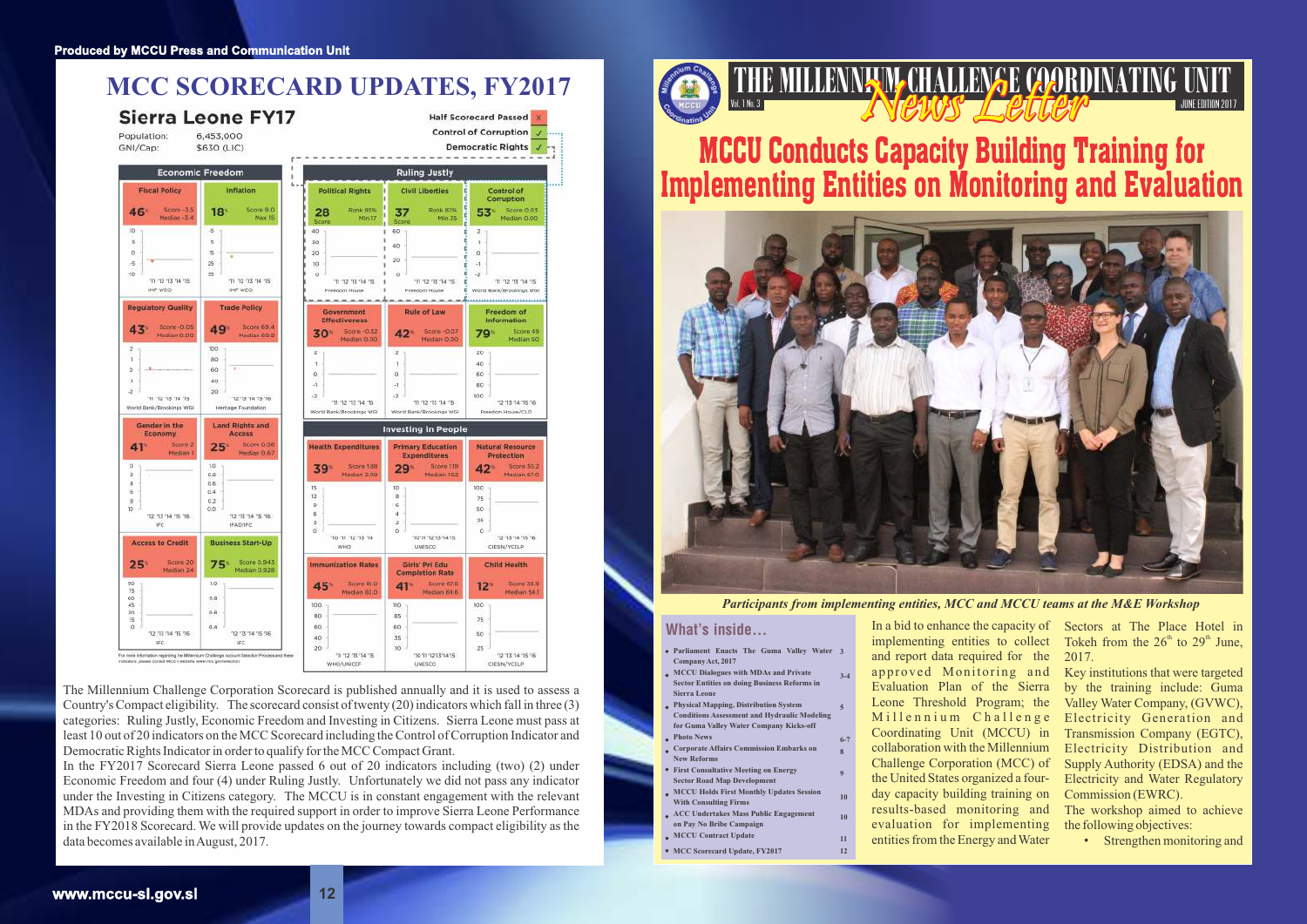### **THE MILLENNING CHALLENGE COORDINATING UNIT** JUNE EDITION 2017



MCCU Conducts Capacity Building Training for Implementing Entities on Monitoring and Evaluation



Tokeh from the  $26<sup>th</sup>$  to  $29<sup>th</sup>$  June, 2017.

In a bid to enhance the capacity of Sectors at The Place Hotel in implementing entities to collect and report data required for the approved Monitoring and Evaluation Plan of the Sierra Millennium Challenge Coordinating Unit (MCCU) in collaboration with the Millennium Challenge Corporation (MCC) of the United States organized a fourday capacity building training on results-based monitoring and evaluation for implementing entities from the Energy and Water

Leone Threshold Program; the Valley Water Company, (GVWC), Key institutions that were targeted by the training include: Guma Electricity Generation and Transmission Company (EGTC), Electricity Distribution and Supply Authority (EDSA) and the Electricity and Water Regulatory Commission (EWRC).

> The workshop aimed to achieve the following objectives:

> > • Strengthen monitoring and

*Participants from implementing entities, MCC and MCCU teams at the M&E Workshop*

#### What's inside...

The Millennium Challenge Corporation Scorecard is published annually and it is used to assess a Country's Compact eligibility. The scorecard consist of twenty (20) indicators which fall in three (3) categories: Ruling Justly, Economic Freedom and Investing in Citizens. Sierra Leone must pass at least 10 out of 20 indicators on the MCC Scorecard including the Control of Corruption Indicator and Democratic Rights Indicator in order to qualify for the MCC Compact Grant.

In the FY2017 Scorecard Sierra Leone passed 6 out of 20 indicators including (two) (2) under Economic Freedom and four (4) under Ruling Justly. Unfortunately we did not pass any indicator under the Investing in Citizens category. The MCCU is in constant engagement with the relevant MDAs and providing them with the required support in order to improve Sierra Leone Performance in the FY2018 Scorecard. We will provide updates on the journey towards compact eligibility as the data becomes available in August, 2017.



- **Parliament Enacts The Guma Valley Water 3 Company Act, 2017**
- **MCCU Dialogues with MDAs and Private Sector Entities on doing Business Reforms in Sierra Leone 3-4**
- **Physical Mapping, Distribution System Conditions Assessment and Hydraulic Modeling for Guma Valley Water Company Kicks-off Photo News 6-7**
- **Corporate Affairs Commission Embarks on New Reforms**
- **First Consultative Meeting on Energy Sector Road Map Development**
- **MCCU Holds First Monthly Updates Session With Consulting Firms**
- **ACC Undertakes Mass Public Engagement on Pay No Bribe Campaign**
	- **MCCU Contract Update**
- **MCC Scorecard Update, FY2017 12**

**5**

**8 9**

**10 10 11**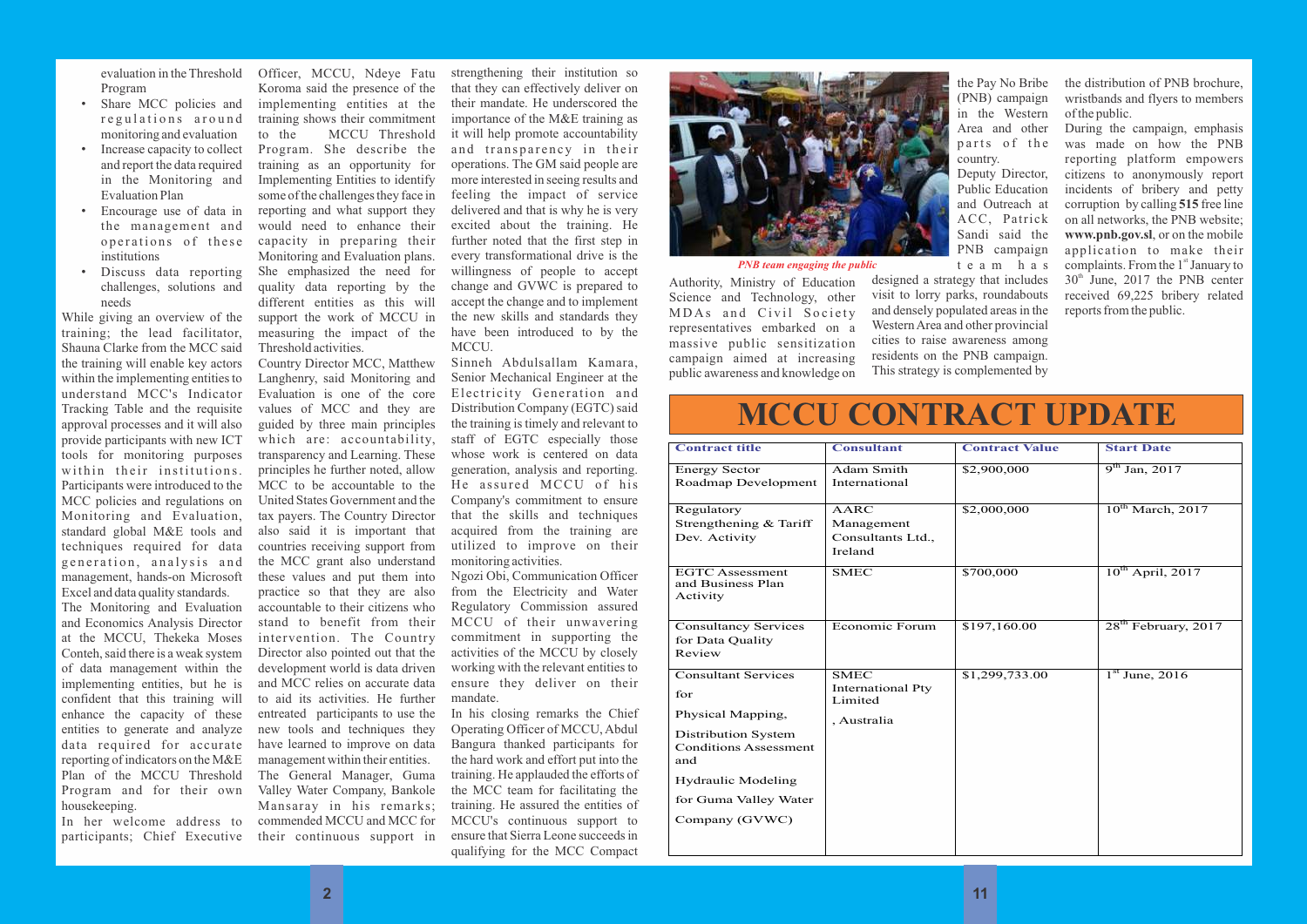evaluation in the Threshold Program

- Share MCC policies and regulations around monitoring and evaluation
- Increase capacity to collect and report the data required in the Monitoring and Evaluation Plan
- Encourage use of data in the management and operations of these institutions
- Discuss data reporting challenges, solutions and needs

While giving an overview of the training; the lead facilitator, Shauna Clarke from the MCC said the training will enable key actors within the implementing entities to understand MCC's Indicator Tracking Table and the requisite approval processes and it will also provide participants with new ICT tools for monitoring purposes within their institutions. Participants were introduced to the MCC policies and regulations on Monitoring and Evaluation, standard global M&E tools and techniques required for data generation, analysis and management, hands-on Microsoft Excel and data quality standards.

The Monitoring and Evaluation and Economics Analysis Director at the MCCU, Thekeka Moses Conteh, said there is a weak system of data management within the implementing entities, but he is confident that this training will enhance the capacity of these entities to generate and analyze data required for accurate reporting of indicators on the M&E Plan of the MCCU Threshold Program and for their own housekeeping.

In her welcome address to participants; Chief Executive

Officer, MCCU, Ndeye Fatu Koroma said the presence of the implementing entities at the training shows their commitment<br>to the MCCU Threshold MCCU Threshold Program. She describe the training as an opportunity for Implementing Entities to identify some of the challenges they face in reporting and what support they would need to enhance their capacity in preparing their Monitoring and Evaluation plans. She emphasized the need for quality data reporting by the different entities as this will support the work of MCCU in measuring the impact of the Threshold activities.

Country Director MCC, Matthew Langhenry, said Monitoring and Evaluation is one of the core values of MCC and they are guided by three main principles which are: accountability, transparency and Learning. These principles he further noted, allow MCC to be accountable to the United States Government and the tax payers. The Country Director also said it is important that countries receiving support from the MCC grant also understand these values and put them into practice so that they are also accountable to their citizens who stand to benefit from their intervention. The Country Director also pointed out that the development world is data driven and MCC relies on accurate data to aid its activities. He further entreated participants to use the new tools and techniques they have learned to improve on data management within their entities. The General Manager, Guma Valley Water Company, Bankole Mansaray in his remarks; commended MCCU and MCC for their continuous support in

strengthening their institution so that they can effectively deliver on their mandate. He underscored the importance of the M&E training as it will help promote accountability and transparency in their operations. The GM said people are more interested in seeing results and feeling the impact of service delivered and that is why he is very excited about the training. He further noted that the first step in every transformational drive is the willingness of people to accept change and GVWC is prepared to accept the change and to implement the new skills and standards they have been introduced to by the MCCU.

Sinneh Abdulsallam Kamara, Senior Mechanical Engineer at the Electricity Generation and Distribution Company (EGTC) said the training is timely and relevant to staff of EGTC especially those whose work is centered on data generation, analysis and reporting. He assured MCCU of his Company's commitment to ensure that the skills and techniques acquired from the training are utilized to improve on their monitoring activities.

Ngozi Obi, Communication Officer from the Electricity and Water Regulatory Commission assured MCCU of their unwavering commitment in supporting the activities of the MCCU by closely working with the relevant entities to ensure they deliver on their mandate.

In his closing remarks the Chief Operating Officer of MCCU, Abdul Bangura thanked participants for the hard work and effort put into the training. He applauded the efforts of the MCC team for facilitating the training. He assured the entities of MCCU's continuous support to ensure that Sierra Leone succeeds in qualifying for the MCC Compact



Authority, Ministry of Education Science and Technology, other MDAs and Civil Society representatives embarked on a massive public sensitization campaign aimed at increasing public awareness and knowledge on

the Pay No Bribe (PNB) campaign in the Western Area and other parts of the country.

Deputy Director, Public Education and Outreach at ACC, Patrick Sandi said the PNB campaign t e a m h a s designed a strategy that includes visit to lorry parks, roundabouts and densely populated areas in the Western Area and other provincial cities to raise awareness among residents on the PNB campaign. This strategy is complemented by the distribution of PNB brochure, wristbands and flyers to members of the public.

During the campaign, emphasis was made on how the PNB reporting platform empowers citizens to anonymously report incidents of bribery and petty corruption by calling **515** free line on all networks, the PNB website; **www.pnb.gov.sl**, or on the mobile application to make their complaints. From the 1<sup>st</sup> January to  $30<sup>th</sup>$  June, 2017 the PNB center received 69,225 bribery related reports from the public.

*PNB team engaging the public*



| <b>Contract title</b>                                                                                                                                                             | <b>Consultant</b>                                                 | <b>Contract Value</b> | <b>St</b>       |
|-----------------------------------------------------------------------------------------------------------------------------------------------------------------------------------|-------------------------------------------------------------------|-----------------------|-----------------|
| Energy Sector<br>Roadmap Development                                                                                                                                              | <b>Adam Smith</b><br>International                                | \$2,900,000           | q <sup>th</sup> |
| Regulatory<br>Strengthening & Tariff<br>Dev. Activity                                                                                                                             | <b>AARC</b><br>Management<br>Consultants Ltd.,<br>Ireland         | \$2,000,000           | 10              |
| <b>EGTC</b> Assessment<br>and Business Plan<br>Activity                                                                                                                           | <b>SMEC</b>                                                       | \$700,000             | 10              |
| <b>Consultancy Services</b><br>for Data Quality<br>Review                                                                                                                         | <b>Economic Forum</b>                                             | \$197,160.00          | 28              |
| <b>Consultant Services</b><br>for<br>Physical Mapping,<br><b>Distribution System</b><br><b>Conditions Assessment</b><br>and<br><b>Hydraulic Modeling</b><br>for Guma Valley Water | <b>SMEC</b><br><b>International Pty</b><br>Limited<br>, Australia | \$1,299,733.00        | 1 <sup>st</sup> |
| Company (GVWC)                                                                                                                                                                    |                                                                   |                       |                 |

# **MCCU CONTRACT UPDATE**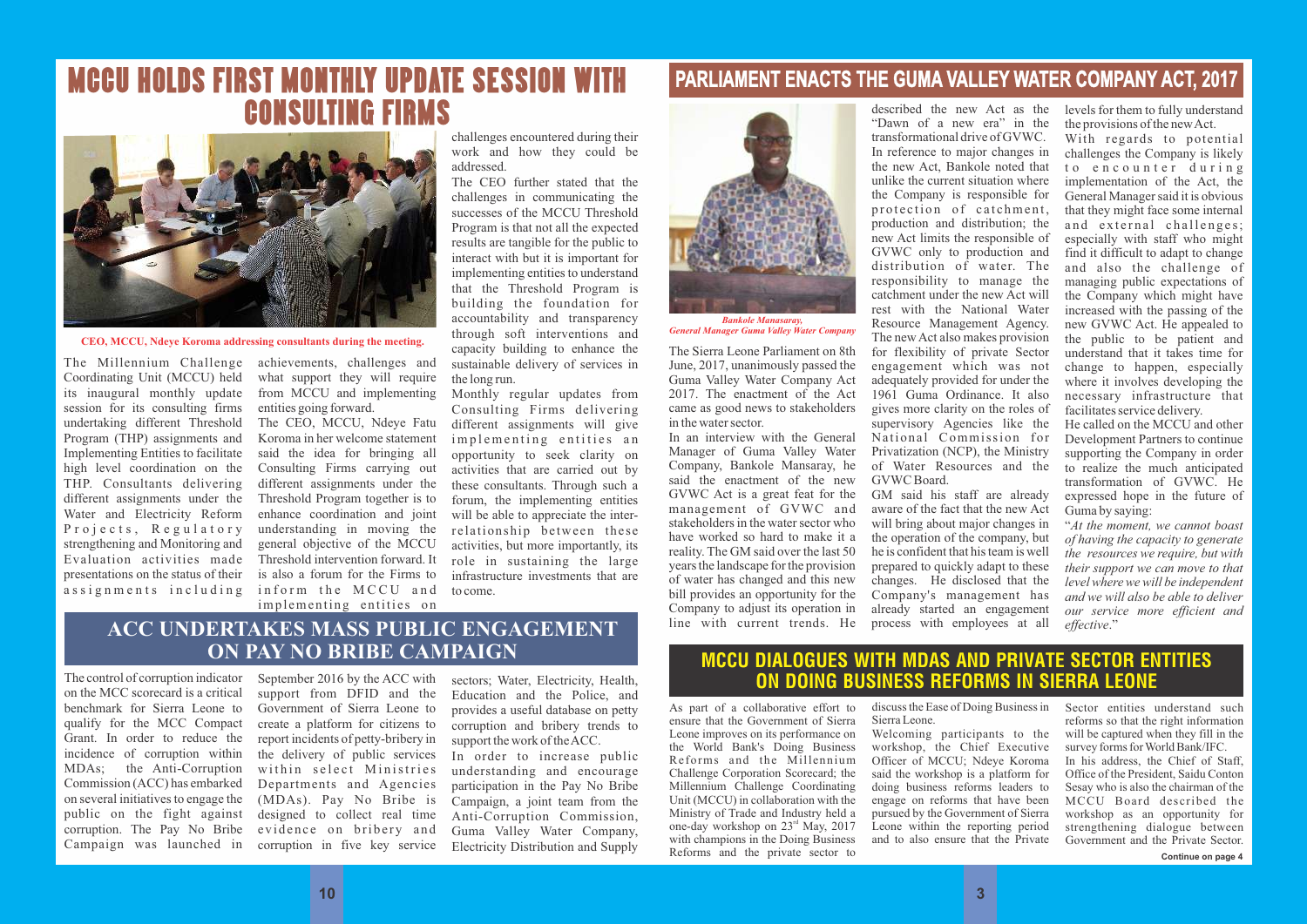### **PARLIAMENT ENACTS THE GUMA VALLEY WATER COMPANY ACT, 2017**

The Sierra Leone Parliament on 8th June, 2017, unanimously passed the Guma Valley Water Company Act 2017. The enactment of the Act came as good news to stakeholders in the water sector.

In an interview with the General Manager of Guma Valley Water Company, Bankole Mansaray, he said the enactment of the new GVWC Act is a great feat for the management of GVWC and stakeholders in the water sector who have worked so hard to make it a reality. The GM said over the last 50 years the landscape for the provision of water has changed and this new bill provides an opportunity for the Company to adjust its operation in line with current trends. He

described the new Act as the "Dawn of a new era" in the transformational drive of GVWC. In reference to major changes in the new Act, Bankole noted that unlike the current situation where the Company is responsible for protection of catchment, production and distribution; the new Act limits the responsible of GVWC only to production and distribution of water. The responsibility to manage the catchment under the new Act will rest with the National Water Resource Management Agency. The new Act also makes provision for flexibility of private Sector engagement which was not adequately provided for under the 1961 Guma Ordinance. It also gives more clarity on the roles of supervisory Agencies like the National Commission for Privatization (NCP), the Ministry of Water Resources and the GVWC Board.

GM said his staff are already aware of the fact that the new Act will bring about major changes in the operation of the company, but he is confident that his team is well prepared to quickly adapt to these changes. He disclosed that the Company's management has already started an engagement process with employees at all levels for them to fully understand the provisions of the new Act.

The Millennium Challenge Coordinating Unit (MCCU) held its inaugural monthly update session for its consulting firms undertaking different Threshold Program (THP) assignments and Implementing Entities to facilitate high level coordination on the THP. Consultants delivering different assignments under the Water and Electricity Reform Projects, Regulatory strengthening and Monitoring and Evaluation activities made presentations on the status of their assignments including

With regards to potential challenges the Company is likely to encounter during implementation of the Act, the General Manager said it is obvious that they might face some internal and external challenges; especially with staff who might find it difficult to adapt to change and also the challenge of managing public expectations of the Company which might have increased with the passing of the new GVWC Act. He appealed to the public to be patient and understand that it takes time for change to happen, especially where it involves developing the necessary infrastructure that facilitates service delivery.

The CEO, MCCU, Ndeye Fatu Koroma in her welcome statement said the idea for bringing all Consulting Firms carrying out different assignments under the Threshold Program together is to enhance coordination and joint understanding in moving the general objective of the MCCU Threshold intervention forward. It is also a forum for the Firms to inform the MCCU and implementing entities on

He called on the MCCU and other Development Partners to continue supporting the Company in order to realize the much anticipated transformation of GVWC. He expressed hope in the future of Guma by saying:

"*At the moment, we cannot boast of having the capacity to generate the resources we require, but with their support we can move to that level where we will be independent and we will also be able to deliver our service more efficient and effective*."



*General Manager Guma Valley Water Company*

#### MCCU DIALOGUES WITH MDAS AND PRIVATE SECTOR ENTITIES ON DOING BUSINESS REFORMS IN SIERRA LEONE

As part of a collaborative effort to ensure that the Government of Sierra Leone improves on its performance on the World Bank's Doing Business Reforms and the Millennium Challenge Corporation Scorecard; the Millennium Challenge Coordinating Unit (MCCU) in collaboration with the Ministry of Trade and Industry held a one-day workshop on  $23<sup>rd</sup>$  May, 2017 with champions in the Doing Business Reforms and the private sector to

Campaign was launched in corruption in five key service September 2016 by the ACC with support from DFID and the Government of Sierra Leone to create a platform for citizens to report incidents of petty-bribery in the delivery of public services within select Ministries Departments and Agencies (MDAs). Pay No Bribe is designed to collect real time evidence on bribery and

discuss the Ease of Doing Business in Sierra Leone.

Welcoming participants to the workshop, the Chief Executive Officer of MCCU; Ndeye Koroma said the workshop is a platform for doing business reforms leaders to engage on reforms that have been pursued by the Government of Sierra Leone within the reporting period and to also ensure that the Private

Sector entities understand such reforms so that the right information will be captured when they fill in the survey forms for World Bank/IFC.

In his address, the Chief of Staff, Office of the President, Saidu Conton Sesay who is also the chairman of the MCCU Board described the workshop as an opportunity for strengthening dialogue between Government and the Private Sector.

## MCCU HOLDS FIRST MONTHLY UPDATE SESSION WITH CONSULTING FIRMS

achievements, challenges and what support they will require from MCCU and implementing entities going forward.

challenges encountered during their work and how they could be addressed.

The CEO further stated that the challenges in communicating the successes of the MCCU Threshold Program is that not all the expected results are tangible for the public to interact with but it is important for implementing entities to understand that the Threshold Program is building the foundation for accountability and transparency through soft interventions and capacity building to enhance the sustainable delivery of services in the long run.

Monthly regular updates from Consulting Firms delivering different assignments will give implementing entities an opportunity to seek clarity on activities that are carried out by these consultants. Through such a forum, the implementing entities will be able to appreciate the interrelationship between these activities, but more importantly, its role in sustaining the large infrastructure investments that are to come.



**CEO, MCCU, Ndeye Koroma addressing consultants during the meeting.**

#### **ACC UNDERTAKES MASS PUBLIC ENGAGEMENT ON PAY NO BRIBE CAMPAIGN**

The control of corruption indicator on the MCC scorecard is a critical benchmark for Sierra Leone to qualify for the MCC Compact Grant. In order to reduce the incidence of corruption within MDAs; the Anti-Corruption Commission (ACC) has embarked on several initiatives to engage the public on the fight against corruption. The Pay No Bribe

sectors; Water, Electricity, Health, Education and the Police, and provides a useful database on petty corruption and bribery trends to support the work of the ACC.

In order to increase public understanding and encourage participation in the Pay No Bribe Campaign, a joint team from the Anti-Corruption Commission, Guma Valley Water Company, Electricity Distribution and Supply

**Continue on page 4**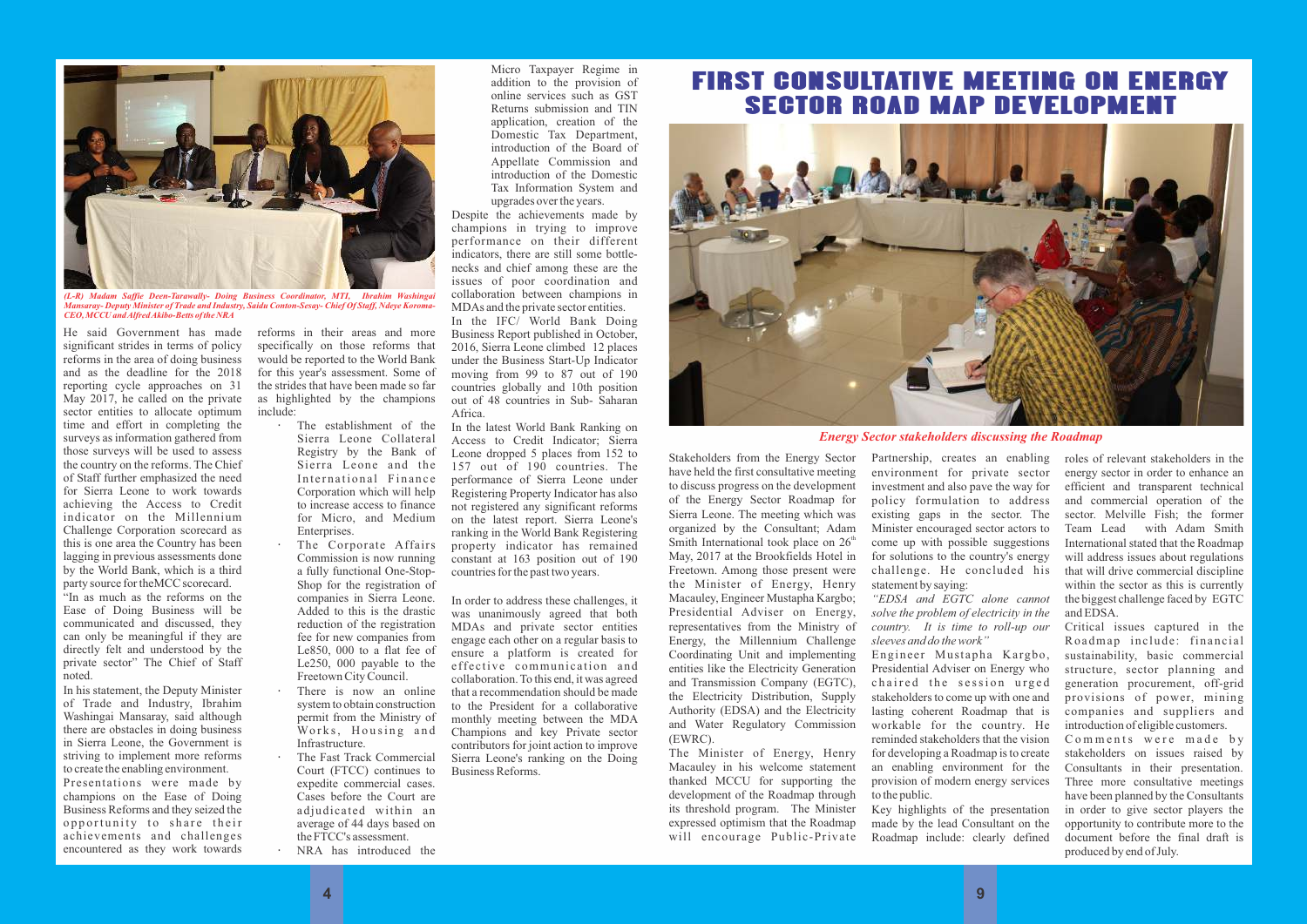He said Government has made significant strides in terms of policy reforms in the area of doing business and as the deadline for the 2018 reporting cycle approaches on 31 May 2017, he called on the private sector entities to allocate optimum time and effort in completing the surveys as information gathered from those surveys will be used to assess the country on the reforms. The Chief of Staff further emphasized the need for Sierra Leone to work towards achieving the Access to Credit indicator on the Millennium Challenge Corporation scorecard as this is one area the Country has been lagging in previous assessments done by the World Bank, which is a third party source for theMCC scorecard.

"In as much as the reforms on the Ease of Doing Business will be communicated and discussed, they can only be meaningful if they are directly felt and understood by the private sector" The Chief of Staff noted.

In his statement, the Deputy Minister of Trade and Industry, Ibrahim Washingai Mansaray, said although there are obstacles in doing business in Sierra Leone, the Government is striving to implement more reforms to create the enabling environment.

Presentations were made by champions on the Ease of Doing Business Reforms and they seized the opportunity to share their achievements and challenges encountered as they work towards reforms in their areas and more specifically on those reforms that would be reported to the World Bank for this year's assessment. Some of the strides that have been made so far as highlighted by the champions include:

- The establishment of the Sierra Leone Collateral Registry by the Bank of Sierra Leone and the International Finance Corporation which will help to increase access to finance for Micro, and Medium Enterprises.
- The Corporate Affairs Commission is now running a fully functional One-Stop-Shop for the registration of companies in Sierra Leone. Added to this is the drastic reduction of the registration fee for new companies from Le850, 000 to a flat fee of Le250, 000 payable to the Freetown City Council.
- There is now an online system to obtain construction permit from the Ministry of Works, Housing and Infrastructure.
- The Fast Track Commercial Court (FTCC) continues to expedite commercial cases. Cases before the Court are adjudicated within an average of 44 days based on the FTCC's assessment. NRA has introduced the

Micro Taxpayer Regime in addition to the provision of online services such as GST Returns submission and TIN application, creation of the Domestic Tax Department, introduction of the Board of Appellate Commission and introduction of the Domestic Tax Information System and upgrades over the years.

Despite the achievements made by champions in trying to improve performance on their different indicators, there are still some bottlenecks and chief among these are the issues of poor coordination and collaboration between champions in MDAs and the private sector entities.

In the IFC/ World Bank Doing Business Report published in October, 2016, Sierra Leone climbed 12 places under the Business Start-Up Indicator moving from 99 to 87 out of 190 countries globally and 10th position out of 48 countries in Sub- Saharan Africa.

In the latest World Bank Ranking on Access to Credit Indicator; Sierra Leone dropped 5 places from 152 to 157 out of 190 countries. The performance of Sierra Leone under Registering Property Indicator has also not registered any significant reforms on the latest report. Sierra Leone's ranking in the World Bank Registering property indicator has remained constant at 163 position out of 190 countries for the past two years.

In order to address these challenges, it was unanimously agreed that both MDAs and private sector entities engage each other on a regular basis to ensure a platform is created for effective communication and collaboration. To this end, it was agreed that a recommendation should be made to the President for a collaborative monthly meeting between the MDA Champions and key Private sector contributors for joint action to improve Sierra Leone's ranking on the Doing Business Reforms.



*Mansaray- Deputy Minister of Trade and Industry, Saidu Conton-Sesay- Chief Of Staff, Ndeye Koroma-CEO, MCCU and Alfred Akibo-Betts of the NRA*

### FIRST CONSULTATIVE MEETING ON ENERGY SECTOR ROAD MAP DEVELOPMENT



Stakeholders from the Energy Sector have held the first consultative meeting to discuss progress on the development of the Energy Sector Roadmap for Sierra Leone. The meeting which was organized by the Consultant; Adam Smith International took place on  $26<sup>th</sup>$ May, 2017 at the Brookfields Hotel in Freetown. Among those present were the Minister of Energy, Henry Macauley, Engineer Mustapha Kargbo; Presidential Adviser on Energy, representatives from the Ministry of Energy, the Millennium Challenge Coordinating Unit and implementing entities like the Electricity Generation and Transmission Company (EGTC), the Electricity Distribution, Supply Authority (EDSA) and the Electricity and Water Regulatory Commission (EWRC).

The Minister of Energy, Henry Macauley in his welcome statement thanked MCCU for supporting the development of the Roadmap through its threshold program. The Minister expressed optimism that the Roadmap will encourage Public-Private Partnership, creates an enabling environment for private sector investment and also pave the way for policy formulation to address existing gaps in the sector. The Minister encouraged sector actors to come up with possible suggestions for solutions to the country's energy challenge. He concluded his statement by saying:

*"EDSA and EGTC alone cannot solve the problem of electricity in the country. It is time to roll-up our sleeves and do the work"* Engineer Mustapha Kargbo, Presidential Adviser on Energy who chaired the session urged stakeholders to come up with one and lasting coherent Roadmap that is workable for the country. He reminded stakeholders that the vision for developing a Roadmap is to create an enabling environment for the provision of modern energy services to the public.

Key highlights of the presentation made by the lead Consultant on the Roadmap include: clearly defined roles of relevant stakeholders in the energy sector in order to enhance an efficient and transparent technical and commercial operation of the sector. Melville Fish; the former Team Lead with Adam Smith International stated that the Roadmap will address issues about regulations that will drive commercial discipline within the sector as this is currently the biggest challenge faced by EGTC and EDSA.

Critical issues captured in the Roadmap include: financial sustainability, basic commercial structure, sector planning and generation procurement, off-grid provisions of power, mining companies and suppliers and introduction of eligible customers. Comments were made by stakeholders on issues raised by Consultants in their presentation. Three more consultative meetings have been planned by the Consultants in order to give sector players the opportunity to contribute more to the document before the final draft is produced by end of July.

*Energy Sector stakeholders discussing the Roadmap*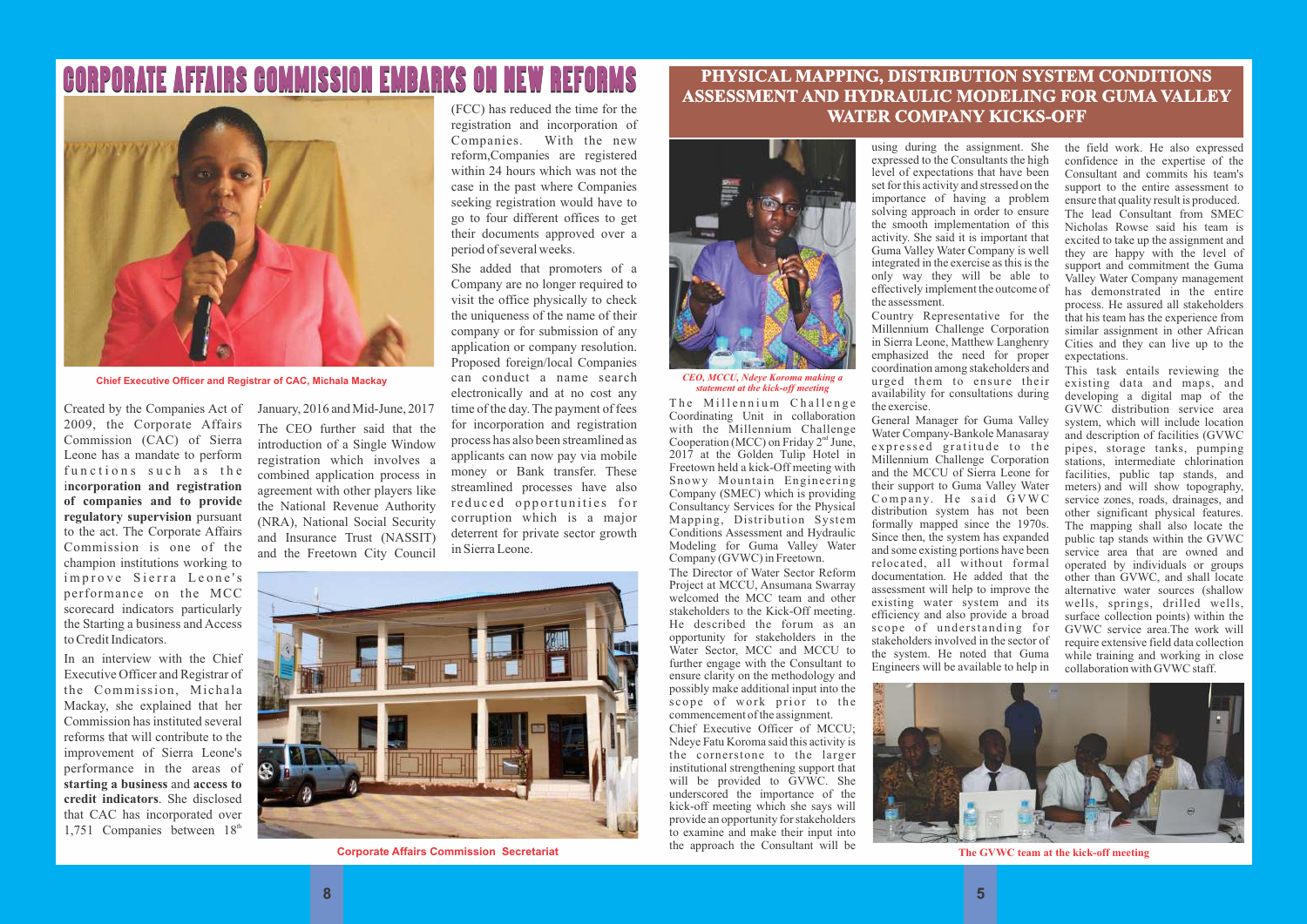The Millennium Challenge Coordinating Unit in collaboration with the Millennium Challenge Cooperation (MCC) on Friday  $2<sup>nd</sup> June$ , 2017 at the Golden Tulip Hotel in Freetown held a kick-Off meeting with Snowy Mountain Engineering Company (SMEC) which is providing Consultancy Services for the Physical Mapping, Distribution System Conditions Assessment and Hydraulic Modeling for Guma Valley Water Company (GVWC) in Freetown.

The Director of Water Sector Reform Project at MCCU, Ansumana Swarray welcomed the MCC team and other stakeholders to the Kick-Off meeting. He described the forum as an opportunity for stakeholders in the Water Sector, MCC and MCCU to further engage with the Consultant to ensure clarity on the methodology and possibly make additional input into the  $\frac{1}{\sqrt{2}}$  scope of work prior to the commencement of the assignment.

Chief Executive Officer of MCCU; Ndeye Fatu Koroma said this activity is the cornerstone to the larger institutional strengthening support that will be provided to GVWC. She underscored the importance of the kick-off meeting which she says will provide an opportunity for stakeholders to examine and make their input into the approach the Consultant will be

#### **PHYSICAL MAPPING, DISTRIBUTION SYSTEM CONDITIONS ASSESSMENT AND HYDRAULIC MODELING FOR GUMA VALLEY WATER COMPANY KICKS-OFF**

using during the assignment. She expressed to the Consultants the high level of expectations that have been set for this activity and stressed on the importance of having a problem solving approach in order to ensure the smooth implementation of this activity. She said it is important that Guma Valley Water Company is well integrated in the exercise as this is the only way they will be able to effectively implement the outcome of the assessment.

Country Representative for the Millennium Challenge Corporation in Sierra Leone, Matthew Langhenry emphasized the need for proper coordination among stakeholders and urged them to ensure their availability for consultations during the exercise.

In an interview with the Chief Executive Officer and Registrar of the Commission, Michala Mackay, she explained that her Commission has instituted several reforms that will contribute to the improvement of Sierra Leone's performance in the areas of **starting a business** and **access to credit indicators**. She disclosed that CAC has incorporated over 1,751 Companies between  $18<sup>th</sup>$ 

General Manager for Guma Valley Water Company-Bankole Manasaray expressed gratitude to the Millennium Challenge Corporation and the MCCU of Sierra Leone for their support to Guma Valley Water  $Company.$  He said  $GVWC$ distribution system has not been formally mapped since the 1970s. Since then, the system has expanded and some existing portions have been relocated, all without formal documentation. He added that the assessment will help to improve the existing water system and its efficiency and also provide a broad scope of understanding for stakeholders involved in the sector of the system. He noted that Guma Engineers will be available to help in



the field work. He also expressed confidence in the expertise of the Consultant and commits his team's support to the entire assessment to ensure that quality result is produced. The lead Consultant from SMEC Nicholas Rowse said his team is excited to take up the assignment and they are happy with the level of support and commitment the Guma Valley Water Company management has demonstrated in the entire process. He assured all stakeholders that his team has the experience from similar assignment in other African Cities and they can live up to the expectations.

This task entails reviewing the existing data and maps, and developing a digital map of the GVWC distribution service area system, which will include location and description of facilities (GVWC pipes, storage tanks, pumping stations, intermediate chlorination facilities, public tap stands, and meters) and will show topography, service zones, roads, drainages, and other significant physical features. The mapping shall also locate the public tap stands within the GVWC service area that are owned and operated by individuals or groups other than GVWC, and shall locate alternative water sources (shallow wells, springs, drilled wells, surface collection points) within the GVWC service area.The work will require extensive field data collection while training and working in close collaboration with GVWC staff.



*CEO, MCCU, Ndeye Koroma making a statement at the kick-off meeting*

**The GVWC team at the kick-off meeting**

2009, the Corporate Affairs Commission (CAC) of Sierra Leone has a mandate to perform functions such as the i**ncorporation and registration of companies and to provide regulatory supervision** pursuant to the act. The Corporate Affairs Commission is one of the champion institutions working to improve Sierra Leone's performance on the MCC scorecard indicators particularly the Starting a business and Access to Credit Indicators.

Created by the Companies Act of January, 2016 and Mid-June, 2017 The CEO further said that the introduction of a Single Window

registration which involves a combined application process in agreement with other players like the National Revenue Authority (NRA), National Social Security and Insurance Trust (NASSIT) and the Freetown City Council

(FCC) has reduced the time for the registration and incorporation of Companies. With the new reform,Companies are registered within 24 hours which was not the case in the past where Companies seeking registration would have to go to four different offices to get their documents approved over a period of several weeks.

She added that promoters of a Company are no longer required to visit the office physically to check the uniqueness of the name of their company or for submission of any application or company resolution. Proposed foreign/local Companies can conduct a name search electronically and at no cost any time of the day. The payment of fees for incorporation and registration process has also been streamlined as applicants can now pay via mobile money or Bank transfer. These streamlined processes have also reduced opportunities for corruption which is a major deterrent for private sector growth in Sierra Leone.



**Corporate Affairs Commission Secretariat**

# CORPORATE AFFAIRS COMMISSION EMBARKS ON NEW REFORMS



**Chief Executive Officer and Registrar of CAC, Michala Mackay**